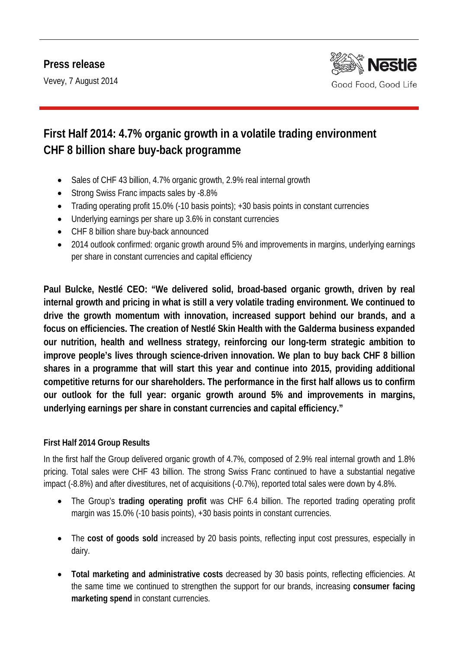Vevey, 7 August 2014



# **First Half 2014: 4.7% organic growth in a volatile trading environment CHF 8 billion share buy-back programme**

- Sales of CHF 43 billion, 4.7% organic growth, 2.9% real internal growth
- Strong Swiss Franc impacts sales by -8.8%
- Trading operating profit 15.0% (-10 basis points); +30 basis points in constant currencies
- Underlying earnings per share up 3.6% in constant currencies
- CHF 8 billion share buy-back announced
- 2014 outlook confirmed: organic growth around 5% and improvements in margins, underlying earnings per share in constant currencies and capital efficiency

**Paul Bulcke, Nestlé CEO: "We delivered solid, broad-based organic growth, driven by real internal growth and pricing in what is still a very volatile trading environment. We continued to drive the growth momentum with innovation, increased support behind our brands, and a focus on efficiencies. The creation of Nestlé Skin Health with the Galderma business expanded our nutrition, health and wellness strategy, reinforcing our long-term strategic ambition to improve people's lives through science-driven innovation. We plan to buy back CHF 8 billion shares in a programme that will start this year and continue into 2015, providing additional competitive returns for our shareholders. The performance in the first half allows us to confirm our outlook for the full year: organic growth around 5% and improvements in margins, underlying earnings per share in constant currencies and capital efficiency."**

# **First Half 2014 Group Results**

In the first half the Group delivered organic growth of 4.7%, composed of 2.9% real internal growth and 1.8% pricing. Total sales were CHF 43 billion. The strong Swiss Franc continued to have a substantial negative impact (-8.8%) and after divestitures, net of acquisitions (-0.7%), reported total sales were down by 4.8%.

- The Group's **trading operating profit** was CHF 6.4 billion. The reported trading operating profit margin was 15.0% (-10 basis points), +30 basis points in constant currencies.
- The **cost of goods sold** increased by 20 basis points, reflecting input cost pressures, especially in dairy.
- **Total marketing and administrative costs** decreased by 30 basis points, reflecting efficiencies. At the same time we continued to strengthen the support for our brands, increasing **consumer facing marketing spend** in constant currencies.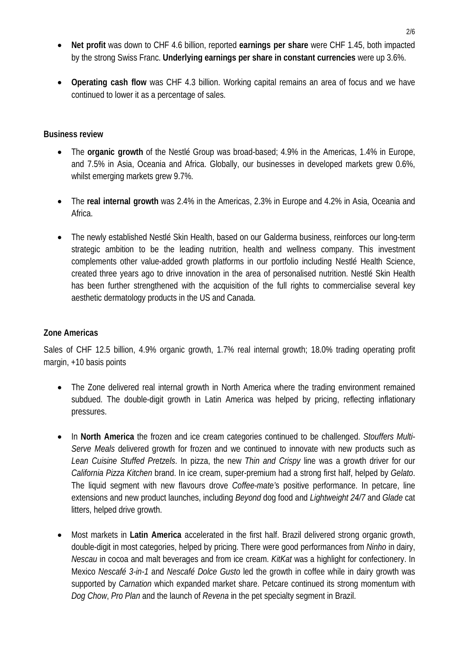- **Net profit** was down to CHF 4.6 billion, reported **earnings per share** were CHF 1.45, both impacted by the strong Swiss Franc. **Underlying earnings per share in constant currencies** were up 3.6%.
- **Operating cash flow** was CHF 4.3 billion. Working capital remains an area of focus and we have continued to lower it as a percentage of sales.

#### **Business review**

- The **organic growth** of the Nestlé Group was broad-based; 4.9% in the Americas, 1.4% in Europe, and 7.5% in Asia, Oceania and Africa. Globally, our businesses in developed markets grew 0.6%, whilst emerging markets grew 9.7%.
- The **real internal growth** was 2.4% in the Americas, 2.3% in Europe and 4.2% in Asia, Oceania and Africa.
- The newly established Nestlé Skin Health, based on our Galderma business, reinforces our long-term strategic ambition to be the leading nutrition, health and wellness company. This investment complements other value-added growth platforms in our portfolio including Nestlé Health Science, created three years ago to drive innovation in the area of personalised nutrition. Nestlé Skin Health has been further strengthened with the acquisition of the full rights to commercialise several key aesthetic dermatology products in the US and Canada.

### **Zone Americas**

Sales of CHF 12.5 billion, 4.9% organic growth, 1.7% real internal growth; 18.0% trading operating profit margin, +10 basis points

- The Zone delivered real internal growth in North America where the trading environment remained subdued. The double-digit growth in Latin America was helped by pricing, reflecting inflationary pressures.
- In **North America** the frozen and ice cream categories continued to be challenged. *Stouffers Multi-Serve Meals* delivered growth for frozen and we continued to innovate with new products such as *Lean Cuisine Stuffed Pretzels*. In pizza, the new *Thin and Crispy* line was a growth driver for our *California Pizza Kitchen* brand. In ice cream, super-premium had a strong first half, helped by *Gelato*. The liquid segment with new flavours drove *Coffee-mate'*s positive performance. In petcare, line extensions and new product launches, including *Beyond* dog food and *Lightweight 24/7* and *Glade* cat litters, helped drive growth.
- Most markets in **Latin America** accelerated in the first half. Brazil delivered strong organic growth, double-digit in most categories, helped by pricing. There were good performances from *Ninho* in dairy, *Nescau* in cocoa and malt beverages and from ice cream. *KitKat* was a highlight for confectionery. In Mexico *Nescafé 3-in-1* and *Nescafé Dolce Gusto* led the growth in coffee while in dairy growth was supported by *Carnation* which expanded market share. Petcare continued its strong momentum with *Dog Chow*, *Pro Plan* and the launch of *Revena* in the pet specialty segment in Brazil.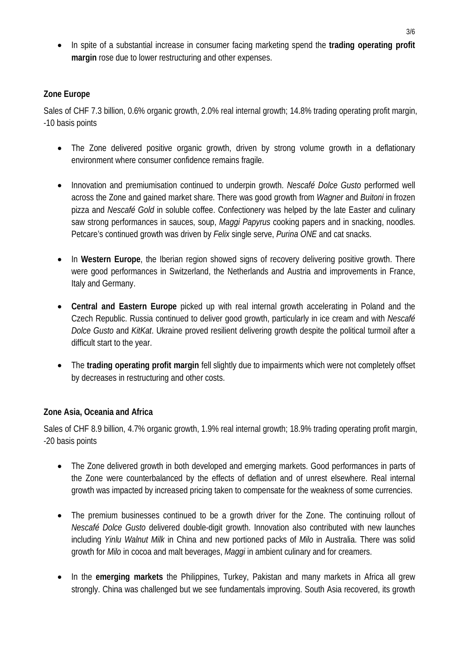• In spite of a substantial increase in consumer facing marketing spend the **trading operating profit margin** rose due to lower restructuring and other expenses.

### **Zone Europe**

Sales of CHF 7.3 billion, 0.6% organic growth, 2.0% real internal growth; 14.8% trading operating profit margin, -10 basis points

- The Zone delivered positive organic growth, driven by strong volume growth in a deflationary environment where consumer confidence remains fragile.
- Innovation and premiumisation continued to underpin growth. *Nescafé Dolce Gusto* performed well across the Zone and gained market share. There was good growth from *Wagner* and *Buitoni* in frozen pizza and *Nescafé Gold* in soluble coffee. Confectionery was helped by the late Easter and culinary saw strong performances in sauces, soup, *Maggi Papyrus* cooking papers and in snacking, noodles. Petcare's continued growth was driven by *Felix* single serve, *Purina ONE* and cat snacks.
- In **Western Europe**, the Iberian region showed signs of recovery delivering positive growth. There were good performances in Switzerland, the Netherlands and Austria and improvements in France, Italy and Germany.
- **Central and Eastern Europe** picked up with real internal growth accelerating in Poland and the Czech Republic. Russia continued to deliver good growth, particularly in ice cream and with *Nescafé Dolce Gusto* and *KitKat*. Ukraine proved resilient delivering growth despite the political turmoil after a difficult start to the year.
- The **trading operating profit margin** fell slightly due to impairments which were not completely offset by decreases in restructuring and other costs.

### **Zone Asia, Oceania and Africa**

Sales of CHF 8.9 billion, 4.7% organic growth, 1.9% real internal growth; 18.9% trading operating profit margin, -20 basis points

- The Zone delivered growth in both developed and emerging markets. Good performances in parts of the Zone were counterbalanced by the effects of deflation and of unrest elsewhere. Real internal growth was impacted by increased pricing taken to compensate for the weakness of some currencies.
- The premium businesses continued to be a growth driver for the Zone. The continuing rollout of *Nescafé Dolce Gusto* delivered double-digit growth. Innovation also contributed with new launches including *Yinlu Walnut Milk* in China and new portioned packs of *Milo* in Australia. There was solid growth for *Milo* in cocoa and malt beverages, *Maggi* in ambient culinary and for creamers.
- In the **emerging markets** the Philippines, Turkey, Pakistan and many markets in Africa all grew strongly. China was challenged but we see fundamentals improving. South Asia recovered, its growth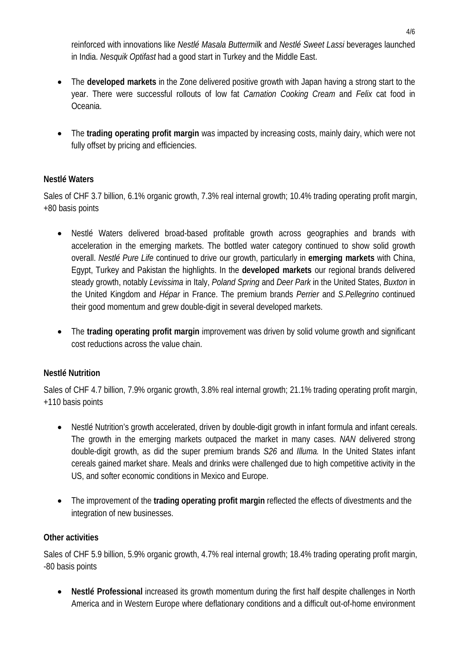reinforced with innovations like *Nestlé Masala Buttermilk* and *Nestlé Sweet Lassi* beverages launched in India. *Nesquik Optifast* had a good start in Turkey and the Middle East.

- The **developed markets** in the Zone delivered positive growth with Japan having a strong start to the year. There were successful rollouts of low fat *Carnation Cooking Cream* and *Felix* cat food in Oceania.
- The **trading operating profit margin** was impacted by increasing costs, mainly dairy, which were not fully offset by pricing and efficiencies.

# **Nestlé Waters**

Sales of CHF 3.7 billion, 6.1% organic growth, 7.3% real internal growth; 10.4% trading operating profit margin, +80 basis points

- Nestlé Waters delivered broad-based profitable growth across geographies and brands with acceleration in the emerging markets. The bottled water category continued to show solid growth overall. *Nestlé Pure Life* continued to drive our growth, particularly in **emerging markets** with China, Egypt, Turkey and Pakistan the highlights. In the **developed markets** our regional brands delivered steady growth, notably *Levissima* in Italy, *Poland Spring* and *Deer Park* in the United States, *Buxton* in the United Kingdom and *Hépar* in France. The premium brands *Perrier* and *S.Pellegrino* continued their good momentum and grew double-digit in several developed markets.
- The **trading operating profit margin** improvement was driven by solid volume growth and significant cost reductions across the value chain.

# **Nestlé Nutrition**

Sales of CHF 4.7 billion, 7.9% organic growth, 3.8% real internal growth; 21.1% trading operating profit margin, +110 basis points

- Nestlé Nutrition's growth accelerated, driven by double-digit growth in infant formula and infant cereals. The growth in the emerging markets outpaced the market in many cases. *NAN* delivered strong double-digit growth, as did the super premium brands *S26* and *Illuma.* In the United States infant cereals gained market share. Meals and drinks were challenged due to high competitive activity in the US, and softer economic conditions in Mexico and Europe.
- The improvement of the **trading operating profit margin** reflected the effects of divestments and the integration of new businesses.

### **Other activities**

Sales of CHF 5.9 billion, 5.9% organic growth, 4.7% real internal growth; 18.4% trading operating profit margin, -80 basis points

• **Nestlé Professional** increased its growth momentum during the first half despite challenges in North America and in Western Europe where deflationary conditions and a difficult out-of-home environment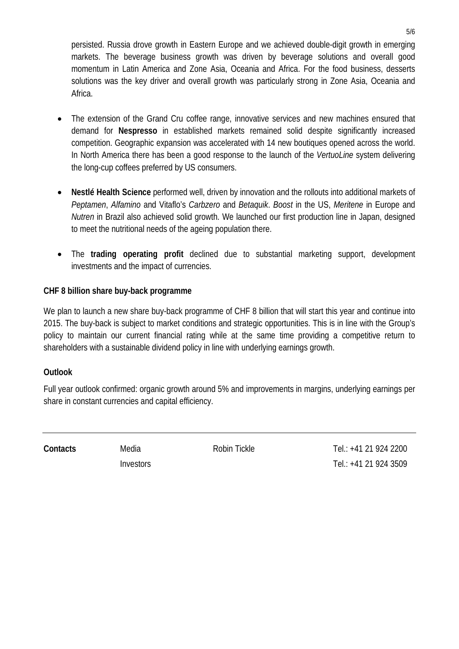persisted. Russia drove growth in Eastern Europe and we achieved double-digit growth in emerging markets. The beverage business growth was driven by beverage solutions and overall good momentum in Latin America and Zone Asia, Oceania and Africa. For the food business, desserts solutions was the key driver and overall growth was particularly strong in Zone Asia, Oceania and Africa.

- The extension of the Grand Cru coffee range, innovative services and new machines ensured that demand for **Nespresso** in established markets remained solid despite significantly increased competition. Geographic expansion was accelerated with 14 new boutiques opened across the world. In North America there has been a good response to the launch of the *VertuoLine* system delivering the long-cup coffees preferred by US consumers.
- **Nestlé Health Science** performed well, driven by innovation and the rollouts into additional markets of *Peptamen*, *Alfamino* and Vitaflo's *Carbzero* and *Betaquik*. *Boost* in the US, *Meritene* in Europe and *Nutren* in Brazil also achieved solid growth. We launched our first production line in Japan, designed to meet the nutritional needs of the ageing population there.
- The **trading operating profit** declined due to substantial marketing support, development investments and the impact of currencies.

# **CHF 8 billion share buy-back programme**

We plan to launch a new share buy-back programme of CHF 8 billion that will start this year and continue into 2015. The buy-back is subject to market conditions and strategic opportunities. This is in line with the Group's policy to maintain our current financial rating while at the same time providing a competitive return to shareholders with a sustainable dividend policy in line with underlying earnings growth.

### **Outlook**

Full year outlook confirmed: organic growth around 5% and improvements in margins, underlying earnings per share in constant currencies and capital efficiency.

**Contacts** Media Robin Tickle Tel.: +41 21 924 2200 Investors Tel.: +41 21 924 3509